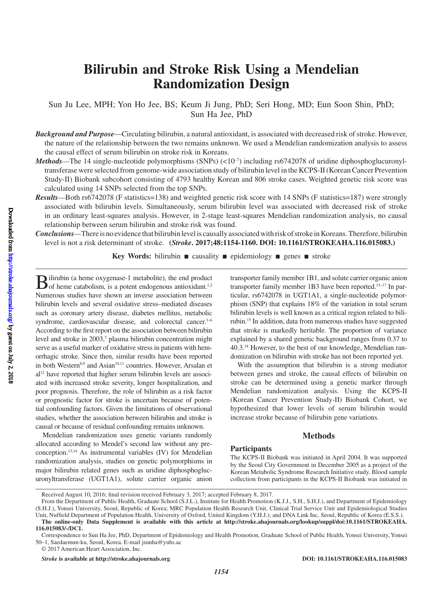# **Bilirubin and Stroke Risk Using a Mendelian Randomization Design**

Sun Ju Lee, MPH; Yon Ho Jee, BS; Keum Ji Jung, PhD; Seri Hong, MD; Eun Soon Shin, PhD; Sun Ha Jee, PhD

*Background and Purpose*—Circulating bilirubin, a natural antioxidant, is associated with decreased risk of stroke. However, the nature of the relationship between the two remains unknown. We used a Mendelian randomization analysis to assess the causal effect of serum bilirubin on stroke risk in Koreans.

- *Methods*—The 14 single-nucleotide polymorphisms (SNPs) (<10<sup>-7</sup>) including rs6742078 of uridine diphosphoglucuronyltransferase were selected from genome-wide association study of bilirubin level in the KCPS-II (Korean Cancer Prevention Study-II) Biobank subcohort consisting of 4793 healthy Korean and 806 stroke cases. Weighted genetic risk score was calculated using 14 SNPs selected from the top SNPs.
- *Results*—Both rs6742078 (F statistics=138) and weighted genetic risk score with 14 SNPs (F statistics=187) were strongly associated with bilirubin levels. Simultaneously, serum bilirubin level was associated with decreased risk of stroke in an ordinary least-squares analysis. However, in 2-stage least-squares Mendelian randomization analysis, no causal relationship between serum bilirubin and stroke risk was found.
- *Conclusions*—There is no evidence that bilirubin level is causally associated with risk of stroke in Koreans. Therefore, bilirubin level is not a risk determinant of stroke. **(***Stroke***. 2017;48:1154-1160. DOI: 10.1161/STROKEAHA.116.015083.)**

**Key Words:** bilirubin ■ causality ■ epidemiology ■ genes ■ stroke

 $\mathbf{B}$ ilirubin (a heme oxygenase-1 metabolite), the end product of heme catabolism, is a potent endogenous antioxidant.<sup>1,2</sup> Numerous studies have shown an inverse association between bilirubin levels and several oxidative stress–mediated diseases such as coronary artery disease, diabetes mellitus, metabolic syndrome, cardiovascular disease, and colorectal cancer.<sup>3-6</sup> According to the first report on the association between bilirubin level and stroke in 2003,7 plasma bilirubin concentration might serve as a useful marker of oxidative stress in patients with hemorrhagic stroke. Since then, similar results have been reported in both Western<sup>8,9</sup> and Asian<sup>10,11</sup> countries. However, Arsalan et al12 have reported that higher serum bilirubin levels are associated with increased stroke severity, longer hospitalization, and poor prognosis. Therefore, the role of bilirubin as a risk factor or prognostic factor for stroke is uncertain because of potential confounding factors. Given the limitations of observational studies, whether the association between bilirubin and stroke is causal or because of residual confounding remains unknown.

Mendelian randomization uses genetic variants randomly allocated according to Mendel's second law without any preconception.13,14 As instrumental variables (IV) for Mendelian randomization analysis, studies on genetic polymorphisms in major bilirubin related genes such as uridine diphosphoglucuronyltransferase (UGT1A1), solute carrier organic anion transporter family member 1B1, and solute carrier organic anion transporter family member 1B3 have been reported.<sup>15-17</sup> In particular, rs6742078 in UGT1A1, a single-nucleotide polymorphism (SNP) that explains 18% of the variation in total serum bilirubin levels is well known as a critical region related to bilirubin.15 In addition, data from numerous studies have suggested that stroke is markedly heritable. The proportion of variance explained by a shared genetic background ranges from 0.37 to 40.3.18 However, to the best of our knowledge, Mendelian randomization on bilirubin with stroke has not been reported yet.

With the assumption that bilirubin is a strong mediator between genes and stroke, the causal effects of bilirubin on stroke can be determined using a genetic marker through Mendelian randomization analysis. Using the KCPS-II (Korean Cancer Prevention Study-II) Biobank Cohort, we hypothesized that lower levels of serum bilirubin would increase stroke because of bilirubin gene variations.

## **Methods**

### **Participants**

The KCPS-II Biobank was initiated in April 2004. It was supported by the Seoul City Government in December 2005 as a project of the Korean Metabolic Syndrome Research Initiative study. Blood sample collection from participants in the KCPS-II Biobank was initiated in

Received August 10, 2016; final revision received February 3, 2017; accepted February 8, 2017.

From the Department of Public Health, Graduate School (S.J.L.), Institute for Health Promotion (K.J.J., S.H., S.H.J.), and Department of Epidemiology (S.H.J.), Yonsei University, Seoul, Republic of Korea; MRC Population Health Research Unit, Clinical Trial Service Unit and Epidemiological Studies Unit, Nuffield Department of Population Health, University of Oxford, United Kingdom (Y.H.J.); and DNA Link Inc, Seoul, Republic of Korea (E.S.S.).

**The online-only Data Supplement is available with this article at http://stroke.ahajournals.org/lookup/suppl/doi:10.1161/STROKEAHA. 116.015083/-/DC1.**

Correspondence to Sun Ha Jee, PhD, Department of Epidemiology and Health Promotion, Graduate School of Public Health, Yonsei University, Yonsei 50–1, Saedaemun-ku, Seoul, Korea. E-mail [jsunha@yuhs.ac](mailto:jsunha@yuhs.ac)

<sup>© 2017</sup> American Heart Association, Inc.

*Stroke* **is available at http://stroke.ahajournals.org DOI: 10.1161/STROKEAHA.116.015083**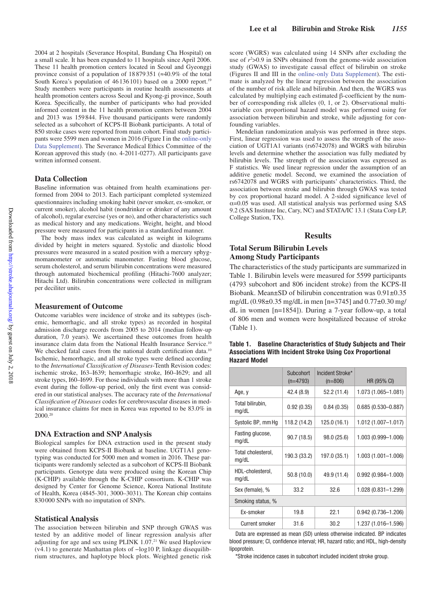2004 at 2 hospitals (Severance Hospital, Bundang Cha Hospital) on a small scale. It has been expanded to 11 hospitals since April 2006. These 11 health promotion centers located in Seoul and Gyeonggi province consist of a population of 18 879351 (≈40.9% of the total South Korea's population of 46136101) based on a 2000 report.<sup>19</sup> Study members were participants in routine health assessments at health promotion centers across Seoul and Kyong-gi province, South Korea. Specifically, the number of participants who had provided informed content in the 11 health promotion centers between 2004 and 2013 was 159844. Five thousand participants were randomly selected as a subcohort of KCPS-II Biobank participants. A total of 850 stroke cases were reported from main cohort. Final study participants were 5599 men and women in 2016 (Figure I in the online-only Data Supplement). The Severance Medical Ethics Committee of the Korean approved this study (no. 4-2011-0277). All participants gave written informed consent.

### **Data Collection**

Baseline information was obtained from health examinations performed from 2004 to 2013. Each participant completed systemized questionnaires including smoking habit (never smoker, ex-smoker, or current smoker), alcohol habit (nondrinker or drinker of any amount of alcohol), regular exercise (yes or no), and other characteristics such as medical history and any medications. Weight, height, and blood pressure were measured for participants in a standardized manner.

The body mass index was calculated as weight in kilograms divided by height in meters squared. Systolic and diastolic blood pressures were measured in a seated position with a mercury sphygmomanometer or automatic manometer. Fasting blood glucose, serum cholesterol, and serum bilirubin concentrations were measured through automated biochemical profiling (Hitachi-7600 analyzer; Hitachi Ltd). Bilirubin concentrations were collected in milligram per deciliter units.

#### **Measurement of Outcome**

Outcome variables were incidence of stroke and its subtypes (ischemic, hemorrhagic, and all stroke types) as recorded in hospital admission discharge records from 2005 to 2014 (median follow-up duration, 7.0 years). We ascertained these outcomes from health insurance claim data from the National Health Insurance Service.10 We checked fatal cases from the national death certification data.<sup>10</sup> Ischemic, hemorrhagic, and all stroke types were defined according to the *International Classification of Diseases*-Tenth Revision codes: ischemic stroke, I63–I639; hemorrhagic stroke, I60–I629; and all stroke types, I60–I699. For those individuals with more than 1 stroke event during the follow-up period, only the first event was considered in our statistical analyses. The accuracy rate of the *International Classification of Diseases* codes for cerebrovascular diseases in medical insurance claims for men in Korea was reported to be 83.0% in 2000.20

#### **DNA Extraction and SNP Analysis**

Biological samples for DNA extraction used in the present study were obtained from KCPS-II Biobank at baseline. UGT1A1 genotyping was conducted for 5000 men and women in 2016. These participants were randomly selected as a subcohort of KCPS-II Biobank participants. Genotype data were produced using the Korean Chip (K-CHIP) available through the K-CHIP consortium. K-CHIP was designed by Center for Genome Science, Korea National Institute of Health, Korea (4845-301, 3000–3031). The Korean chip contains 830000 SNPs with no imputation of SNPs.

### **Statistical Analysis**

The association between bilirubin and SNP through GWAS was tested by an additive model of linear regression analysis after adjusting for age and sex using PLINK 1.07. 21 We used Haploview (v4.1) to generate Manhattan plots of −log10 P, linkage disequilibrium structures, and haplotype block plots. Weighted genetic risk

score (WGRS) was calculated using 14 SNPs after excluding the use of  $r^2 > 0.9$  in SNPs obtained from the genome-wide association study (GWAS) to investigate causal effect of bilirubin on stroke (Figures II and III in the online-only Data Supplement). The estimate is analyzed by the linear regression between the association of the number of risk allele and bilirubin. And then, the WGRS was calculated by multiplying each estimated β-coefficient by the number of corresponding risk alleles (0, 1, or 2). Observational multivariable cox proportional hazard model was performed using for association between bilirubin and stroke, while adjusting for confounding variables.

Mendelian randomization analysis was performed in three steps. First, linear regression was used to assess the strength of the association of UGT1A1 variants (rs6742078) and WGRS with bilirubin levels and determine whether the association was fully mediated by bilirubin levels. The strength of the association was expressed as F statistics. We used linear regression under the assumption of an additive genetic model. Second, we examined the association of rs6742078 and WGRS with participants' characteristics. Third, the association between stroke and bilirubin through GWAS was tested by cox proportional hazard model. A 2-sided significance level of α=0.05 was used. All statistical analysis was performed using SAS 9.2 (SAS Institute Inc, Cary, NC) and STATA/IC 13.1 (Stata Corp LP, College Station, TX).

### **Results**

## **Total Serum Bilirubin Levels Among Study Participants**

The characteristics of the study participants are summarized in Table 1. Bilirubin levels were measured for 5599 participants (4793 subcohort and 806 incident stroke) from the KCPS-II Biobank. Mean±SD of bilirubin concentration was 0.91±0.35 mg/dL (0.98±0.35 mg/dL in men [n=3745] and 0.77±0.30 mg/ dL in women [n=1854]). During a 7-year follow-up, a total of 806 men and women were hospitalized because of stroke (Table 1).

| Table 1.            | <b>Baseline Characteristics of Study Subjects and Their</b>     |
|---------------------|-----------------------------------------------------------------|
|                     | <b>Associations With Incident Stroke Using Cox Proportional</b> |
| <b>Hazard Model</b> |                                                                 |

|                             | Subcohort<br>$(n=4793)$ | Incident Stroke*<br>$(n=806)$ | HR (95% CI)            |
|-----------------------------|-------------------------|-------------------------------|------------------------|
| Age, y                      | 42.4 (8.9)              | 52.2 (11.4)                   | 1.073 (1.065-1.081)    |
| Total bilirubin,<br>mg/dL   | 0.92(0.35)              | 0.84(0.35)                    | $0.685(0.530 - 0.887)$ |
| Systolic BP, mm Hq          | 118.2 (14.2)            | 125.0 (16.1)                  | 1.012 (1.007-1.017)    |
| Fasting glucose,<br>mg/dL   | 90.7(18.5)              | 98.0 (25.6)                   | 1.003 (0.999-1.006)    |
| Total cholesterol,<br>mg/dL | 190.3 (33.2)            | 197.0 (35.1)                  | 1.003 (1.001-1.006)    |
| HDL-cholesterol,<br>mg/dL   | 50.8(10.0)              | 49.9 (11.4)                   | $0.992(0.984 - 1.000)$ |
| Sex (female), %             | 33.2                    | 32.6                          | $1.028(0.831 - 1.299)$ |
| Smoking status, %           |                         |                               |                        |
| Ex-smoker                   | 19.8                    | 22.1                          | $0.942(0.736 - 1.206)$ |
| Current smoker              | 31.6                    | 30.2                          | 1.237 (1.016-1.596)    |

Data are expressed as mean (SD) unless otherwise indicated. BP indicates blood pressure; CI, confidence interval; HR, hazard ratio; and HDL, high-density lipoprotein.

\*Stroke incidence cases in subcohort included incident stroke group.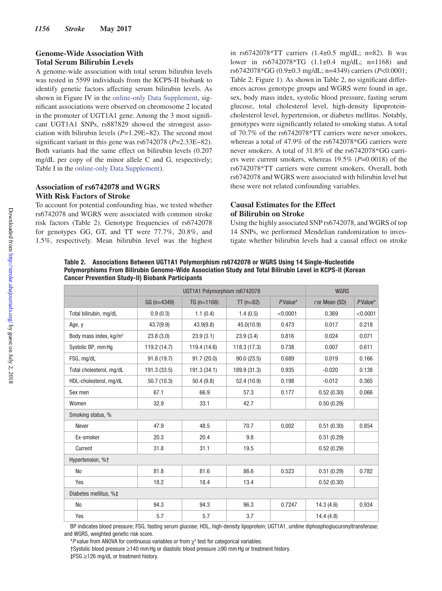# **Genome-Wide Association With Total Serum Bilirubin Levels**

A genome-wide association with total serum bilirubin levels was tested in 5599 individuals from the KCPS-II biobank to identify genetic factors affecting serum bilirubin levels. As shown in Figure IV in the online-only Data Supplement, significant associations were observed on chromosome 2 located in the promoter of UGT1A1 gene. Among the 3 most significant UGT1A1 SNPs, rs887829 showed the strongest association with bilirubin levels (*P*=1.29E−82). The second most significant variant in this gene was rs6742078 (*P*=2.33E−82). Both variants had the same effect on bilirubin levels (0.207 mg/dL per copy of the minor allele C and G, respectively; Table I in the online-only Data Supplement).

# **Association of rs6742078 and WGRS With Risk Factors of Stroke**

To account for potential confounding bias, we tested whether rs6742078 and WGRS were associated with common stroke risk factors (Table 2). Genotype frequencies of rs6742078 for genotypes GG, GT, and TT were 77.7%, 20.8%, and 1.5%, respectively. Mean bilirubin level was the highest

in rs6742078\*TT carriers (1.4±0.5 mg/dL; n=82). It was lower in rs6742078\*TG (1.1±0.4 mg/dL; n=1168) and rs6742078\*GG (0.9±0.3 mg/dL; n=4349) carriers (*P*<0.0001; Table 2; Figure 1). As shown in Table 2, no significant differences across genotype groups and WGRS were found in age, sex, body mass index, systolic blood pressure, fasting serum glucose, total cholesterol level, high-density lipoproteincholesterol level, hypertension, or diabetes mellitus. Notably, genotypes were significantly related to smoking status. A total of 70.7% of the rs6742078\*TT carriers were never smokers, whereas a total of 47.9% of the rs6742078\*GG carriers were never smokers. A total of 31.8% of the rs6742078\*GG carriers were current smokers, whereas 19.5% (*P*=0.0018) of the rs6742078\*TT carriers were current smokers. Overall, both rs6742078 and WGRS were associated with bilirubin level but these were not related confounding variables.

# **Causal Estimates for the Effect of Bilirubin on Stroke**

Using the highly associated SNP rs6742078, and WGRS of top 14 SNPs, we performed Mendelian randomization to investigate whether bilirubin levels had a causal effect on stroke

**Table 2. Associations Between UGT1A1 Polymorphism rs6742078 or WGRS Using 14 Single-Nucleotide Polymorphisms From Bilirubin Genome-Wide Association Study and Total Bilirubin Level in KCPS-II (Korean Cancer Prevention Study-II) Biobank Participants**

|                                    |               | <b>WGRS</b>   |                       |            |                  |          |
|------------------------------------|---------------|---------------|-----------------------|------------|------------------|----------|
|                                    | $GG (n=4349)$ | $TG (n=1168)$ | $TT (n=82)$           | $P$ Value* | $r$ or Mean (SD) | P Value* |
| Total bilirubin, mg/dL             | 0.9(0.3)      | 1.1(0.4)      | 1.4(0.5)              | < 0.0001   | 0.369            | < 0.0001 |
| Age, y                             | 43.7(9.9)     | 43.9(9.8)     | 45.0(10.9)            | 0.473      | 0.017            | 0.218    |
| Body mass index, kg/m <sup>2</sup> | 23.8(3.0)     | 23.9(3.1)     | 23.9(3.4)             | 0.816      | 0.024            | 0.071    |
| Systolic BP, mm Hq                 | 119.2 (14.7)  | 119.4 (14.6)  | 118.3(17.3)           | 0.738      | 0.007            | 0.611    |
| FSG, mg/dL                         | 91.8 (19.7)   | 91.7(20.0)    | 90.0(23.5)            | 0.689      | 0.019            | 0.166    |
| Total cholesterol, mg/dL           | 191.3 (33.5)  | 191.3 (34.1)  | 189.9 (31.3)<br>0.935 |            | $-0.020$         | 0.138    |
| HDL-cholesterol, mg/dL             | 50.7(10.3)    | 50.4(9.8)     | 52.4 (10.9)           | 0.198      | $-0.012$         | 0.365    |
| Sex men                            | 67.1          | 66.9          | 57.3                  | 0.177      | 0.52(0.30)       | 0.066    |
| Women                              | 32.9          | 33.1          | 42.7                  |            | 0.50(0.29)       |          |
| Smoking status, %                  |               |               |                       |            |                  |          |
| <b>Never</b>                       | 47.9          | 48.5          | 70.7                  | 0.002      | 0.51(0.30)       | 0.854    |
| Ex-smoker                          | 20.3          | 20.4          | 9.8                   |            | 0.51(0.29)       |          |
| Current                            | 31.8          | 31.1          | 19.5                  |            | 0.52(0.29)       |          |
| Hypertension, %+                   |               |               |                       |            |                  |          |
| <b>No</b>                          | 81.8          | 81.6          | 86.6                  | 0.523      | 0.51(0.29)       | 0.782    |
| Yes                                | 18.2          | 18.4          | 13.4                  |            | 0.52(0.30)       |          |
| Diabetes mellitus, %‡              |               |               |                       |            |                  |          |
| <b>No</b>                          | 94.3          | 94.3          | 96.3                  | 0.7247     | 14.3(4.6)        | 0.934    |
| Yes                                | 5.7           | 5.7           | 3.7                   |            | 14.4(4.8)        |          |

BP indicates blood pressure; FSG, fasting serum glucose; HDL, high-density lipoprotein; UGT1A1, uridine diphosphoglucuronyltransferase; and WGRS, weighted genetic risk score.

†Systolic blood pressure ≥140 mmHg or diastolic blood pressure ≥90 mmHg or treatment history.

‡FSG ≥126 mg/dL or treatment history.

 $*P$  value from ANOVA for continuous variables or from  $\chi^2$  test for categorical variables.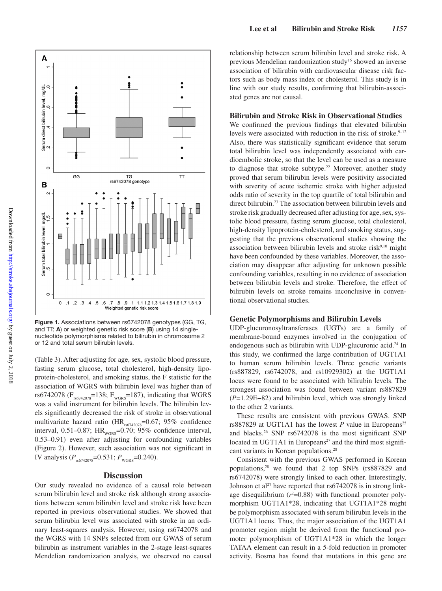

**Figure 1.** Associations between rs6742078 genotypes (GG, TG, and TT; **A**) or weighted genetic risk score (**B**) using 14 singlenucleotide polymorphisms related to bilirubin in chromosome 2 or 12 and total serum bilirubin levels.

(Table 3). After adjusting for age, sex, systolic blood pressure, fasting serum glucose, total cholesterol, high-density lipoprotein-cholesterol, and smoking status, the F statistic for the association of WGRS with bilirubin level was higher than of rs6742078 ( $F_{\text{NS}742078}$ =138;  $F_{\text{WGRS}}$ =187), indicating that WGRS was a valid instrument for bilirubin levels. The bilirubin levels significantly decreased the risk of stroke in observational multivariate hazard ratio ( $HR_{rs6742078}=0.67$ ; 95% confidence interval, 0.51–0.87;  $HR_{WGRS}$ =0.70; 95% confidence interval, 0.53–0.91) even after adjusting for confounding variables (Figure 2). However, such association was not significant in IV analysis  $(P_{rs6742078}=0.531; P_{wGRS}=0.240)$ .

### **Discussion**

Our study revealed no evidence of a causal role between serum bilirubin level and stroke risk although strong associations between serum bilirubin level and stroke risk have been reported in previous observational studies. We showed that serum bilirubin level was associated with stroke in an ordinary least-squares analysis. However, using rs6742078 and the WGRS with 14 SNPs selected from our GWAS of serum bilirubin as instrument variables in the 2-stage least-squares Mendelian randomization analysis, we observed no causal

relationship between serum bilirubin level and stroke risk. A previous Mendelian randomization study<sup>16</sup> showed an inverse association of bilirubin with cardiovascular disease risk factors such as body mass index or cholesterol. This study is in line with our study results, confirming that bilirubin-associated genes are not causal.

### **Bilirubin and Stroke Risk in Observational Studies**

We confirmed the previous findings that elevated bilirubin levels were associated with reduction in the risk of stroke. $9-12$ Also, there was statistically significant evidence that serum total bilirubin level was independently associated with cardioembolic stroke, so that the level can be used as a measure to diagnose that stroke subtype.<sup>22</sup> Moreover, another study proved that serum bilirubin levels were positivity associated with severity of acute ischemic stroke with higher adjusted odds ratio of severity in the top quartile of total bilirubin and direct bilirubin.23 The association between bilirubin levels and stroke risk gradually decreased after adjusting for age, sex, systolic blood pressure, fasting serum glucose, total cholesterol, high-density lipoprotein-cholesterol, and smoking status, suggesting that the previous observational studies showing the association between bilirubin levels and stroke risk $9,10$  might have been confounded by these variables. Moreover, the association may disappear after adjusting for unknown possible confounding variables, resulting in no evidence of association between bilirubin levels and stroke. Therefore, the effect of bilirubin levels on stroke remains inconclusive in conventional observational studies.

### **Genetic Polymorphisms and Bilirubin Levels**

UDP-glucuronosyltransferases (UGTs) are a family of membrane-bound enzymes involved in the conjugation of endogenous such as bilirubin with UDP-glucuronic acid.<sup>24</sup> In this study, we confirmed the large contribution of UGT1A1 to human serum bilirubin levels. Three genetic variants (rs887829, rs6742078, and rs10929302) at the UGT1A1 locus were found to be associated with bilirubin levels. The strongest association was found between variant rs887829 (*P*=1.29E−82) and bilirubin level, which was strongly linked to the other 2 variants.

These results are consistent with previous GWAS. SNP rs887829 at UGT1A1 has the lowest  $P$  value in Europeans<sup>25</sup> and blacks.26 SNP rs6742078 is the most significant SNP located in UGT1A1 in Europeans<sup>27</sup> and the third most significant variants in Korean populations.<sup>28</sup>

Consistent with the previous GWAS performed in Korean populations,28 we found that 2 top SNPs (rs887829 and rs6742078) were strongly linked to each other. Interestingly, Johnson et al<sup>27</sup> have reported that rs6742078 is in strong linkage disequilibrium  $(r^2=0.88)$  with functional promoter polymorphism UGT1A1\*28, indicating that UGT1A1\*28 might be polymorphism associated with serum bilirubin levels in the UGT1A1 locus. Thus, the major association of the UGT1A1 promoter region might be derived from the functional promoter polymorphism of UGT1A1\*28 in which the longer TATAA element can result in a 5-fold reduction in promoter activity. Bosma has found that mutations in this gene are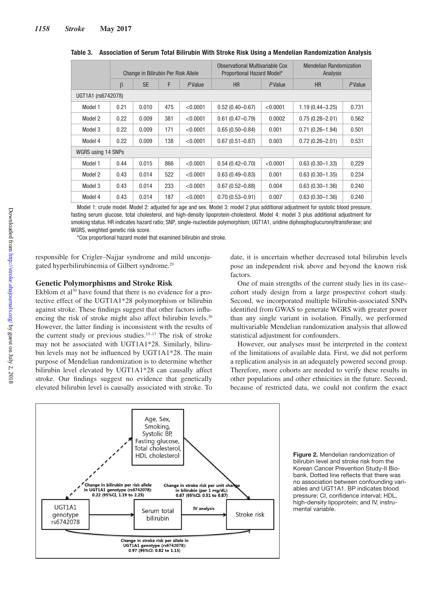|                    | Change in Bilirubin Per Risk Allele |           |     | Observational Multivariable Cox<br>Proportional Hazard Model* |                     | <b>Mendelian Randomization</b><br>Analysis |                     |        |
|--------------------|-------------------------------------|-----------|-----|---------------------------------------------------------------|---------------------|--------------------------------------------|---------------------|--------|
|                    | $\beta$                             | <b>SE</b> | F   | PValue                                                        | <b>HR</b><br>PValue |                                            | <b>HR</b>           | PValue |
| UGT1A1 (rs6742078) |                                     |           |     |                                                               |                     |                                            |                     |        |
| Model 1            | 0.21                                | 0.010     | 475 | < 0.0001                                                      | $0.52(0.40 - 0.67)$ | < 0.0001                                   | $1.19(0.44 - 3.25)$ | 0.731  |
| Model 2            | 0.22                                | 0.009     | 381 | < 0.0001                                                      | $0.61(0.47 - 0.79)$ | 0.0002                                     | $0.75(0.28 - 2.01)$ | 0.562  |
| Model 3            | 0.22                                | 0.009     | 171 | < 0.0001                                                      | $0.65(0.50 - 0.84)$ | 0.001                                      | $0.71(0.26 - 1.94)$ | 0.501  |
| Model 4            | 0.22                                | 0.009     | 138 | < 0.0001                                                      | $0.67(0.51 - 0.87)$ | 0.003                                      | $0.72(0.26 - 2.01)$ | 0.531  |
| WGRS using 14 SNPs |                                     |           |     |                                                               |                     |                                            |                     |        |
| Model 1            | 0.44                                | 0.015     | 866 | < 0.0001                                                      | $0.54(0.42 - 0.70)$ | < 0.0001                                   | $0.63(0.30 - 1.33)$ | 0.229  |
| Model 2            | 0.43                                | 0.014     | 522 | < 0.0001                                                      | $0.63(0.49 - 0.83)$ | 0.001                                      | $0.63(0.30 - 1.35)$ | 0.234  |
| Model 3            | 0.43                                | 0.014     | 233 | < 0.0001                                                      | $0.67(0.52 - 0.88)$ | 0.004                                      | $0.63(0.30 - 1.36)$ | 0.240  |
| Model 4            | 0.43                                | 0.014     | 187 | < 0.0001                                                      | $0.70(0.53 - 0.91)$ | 0.007                                      | $0.63(0.30 - 1.36)$ | 0.240  |

**Table 3. Association of Serum Total Bilirubin With Stroke Risk Using a Mendelian Randomization Analysis**

Model 1: crude model. Model 2: adjusted for age and sex. Model 3: model 2 plus additional adjustment for systolic blood pressure, fasting serum glucose, total cholesterol, and high-density lipoprotein-cholesterol. Model 4: model 3 plus additional adjustment for smoking status. HR indicates hazard ratio; SNP, single-nucleotide polymorphism; UGT1A1, uridine diphosphoglucuronyltransferase; and WGRS, weighted genetic risk score.

\*Cox proportional hazard model that examined bilirubin and stroke.

responsible for Crigler–Najjar syndrome and mild unconjugated hyperbilirubinemia of Gilbert syndrome.<sup>29</sup>

### **Genetic Polymorphisms and Stroke Risk**

Ekblom et al<sup>30</sup> have found that there is no evidence for a protective effect of the UGT1A1\*28 polymorphism or bilirubin against stroke. These findings suggest that other factors influencing the risk of stroke might also affect bilirubin levels.<sup>30</sup> However, the latter finding is inconsistent with the results of the current study or previous studies.<sup>15-17</sup> The risk of stroke may not be associated with UGT1A1\*28. Similarly, bilirubin levels may not be influenced by UGT1A1\*28. The main purpose of Mendelian randomization is to determine whether bilirubin level elevated by UGT1A1\*28 can causally affect stroke. Our findings suggest no evidence that genetically elevated bilirubin level is causally associated with stroke. To date, it is uncertain whether decreased total bilirubin levels pose an independent risk above and beyond the known risk factors.

One of main strengths of the current study lies in its case– cohort study design from a large prospective cohort study. Second, we incorporated multiple bilirubin-associated SNPs identified from GWAS to generate WGRS with greater power than any single variant in isolation. Finally, we performed multivariable Mendelian randomization analysis that allowed statistical adjustment for confounders.

However, our analyses must be interpreted in the context of the limitations of available data. First, we did not perform a replication analysis in an adequately powered second group. Therefore, more cohorts are needed to verify these results in other populations and other ethnicities in the future. Second, because of restricted data, we could not confirm the exact



**Figure 2.** Mendelian randomization of bilirubin level and stroke risk from the Korean Cancer Prevention Study-II Biobank. Dotted line reflects that there was no association between confounding variables and UGT1A1. BP indicates blood pressure; CI, confidence interval; HDL, high-density lipoprotein; and IV, instrumental variable.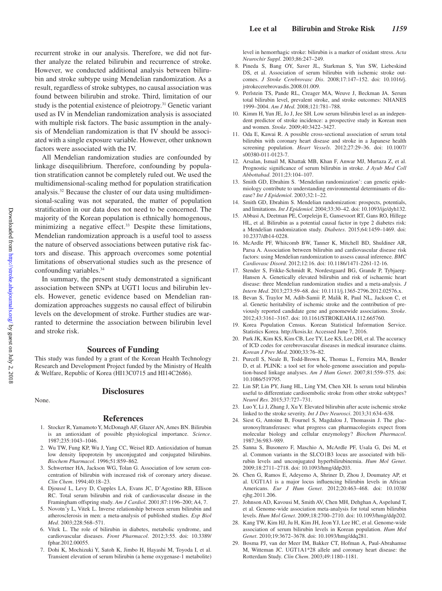recurrent stroke in our analysis. Therefore, we did not further analyze the related bilirubin and recurrence of stroke. However, we conducted additional analysis between bilirubin and stroke subtype using Mendelian randomization. As a result, regardless of stroke subtypes, no causal association was found between bilirubin and stroke. Third, limitation of our study is the potential existence of pleiotropy.<sup>31</sup> Genetic variant used as IV in Mendelian randomization analysis is associated with multiple risk factors. The basic assumption in the analysis of Mendelian randomization is that IV should be associated with a single exposure variable. However, other unknown factors were associated with the IV.

All Mendelian randomization studies are confounded by linkage disequilibrium. Therefore, confounding by population stratification cannot be completely ruled out. We used the multidimensional-scaling method for population stratification analysis.32 Because the cluster of our data using multidimensional-scaling was not separated, the matter of population stratification in our data does not need to be concerned. The majority of the Korean population is ethnically homogenous, minimizing a negative effect.33 Despite these limitations, Mendelian randomization approach is a useful tool to assess the nature of observed associations between putative risk factors and disease. This approach overcomes some potential limitations of observational studies such as the presence of confounding variables.<sup>34</sup>

In summary, the present study demonstrated a significant association between SNPs at UGT1 locus and bilirubin levels. However, genetic evidence based on Mendelian randomization approaches suggests no causal effect of bilirubin levels on the development of stroke. Further studies are warranted to determine the association between bilirubin level and stroke risk.

### **Sources of Funding**

This study was funded by a grant of the Korean Health Technology Research and Development Project funded by the Ministry of Health & Welfare, Republic of Korea (HI13C0715 and HI14C2686).

**Disclosures**

### None.

### **References**

- 1. Stocker R, Yamamoto Y, McDonagh AF, Glazer AN, Ames BN. Bilirubin is an antioxidant of possible physiological importance. *Science*. 1987;235:1043–1046.
- 2. Wu TW, Fung KP, Wu J, Yang CC, Weisel RD. Antioxidation of human low density lipoprotein by unconjugated and conjugated bilirubins. *Biochem Pharmacol*. 1996;51:859–862.
- 3. Schwertner HA, Jackson WG, Tolan G. Association of low serum concentration of bilirubin with increased risk of coronary artery disease. *Clin Chem*. 1994;40:18–23.
- 4. Djoussé L, Levy D, Cupples LA, Evans JC, D'Agostino RB, Ellison RC. Total serum bilirubin and risk of cardiovascular disease in the Framingham offspring study. *Am J Cardiol*. 2001;87:1196–200; A4, 7.
- 5. Novotn´y L, Vitek L. Inverse relationship between serum bilirubin and atherosclerosis in men: a meta-analysis of published studies. *Exp Biol Med*. 2003;228:568–571.
- 6. Vítek L. The role of bilirubin in diabetes, metabolic syndrome, and cardiovascular diseases. *Front Pharmacol*. 2012;3:55. doi: 10.3389/ fphar.2012.00055.
- 7. Dohi K, Mochizuki Y, Satoh K, Jimbo H, Hayashi M, Toyoda I, et al. Transient elevation of serum bilirubin (a heme oxygenase-1 metabolite)

level in hemorrhagic stroke: bilirubin is a marker of oxidant stress. *Acta Neurochir Suppl*. 2003;86:247–249.

- 8. Pineda S, Bang OY, Saver JL, Starkman S, Yun SW, Liebeskind DS, et al. Association of serum bilirubin with ischemic stroke outcomes. *J Stroke Cerebrovasc Dis*. 2008;17:147–152. doi: 10.1016/j. jstrokecerebrovasdis.2008.01.009.
- 9. Perlstein TS, Pande RL, Creager MA, Weuve J, Beckman JA. Serum total bilirubin level, prevalent stroke, and stroke outcomes: NHANES 1999–2004. *Am J Med*. 2008;121:781–788.
- 10. Kimm H, Yun JE, Jo J, Jee SH. Low serum bilirubin level as an independent predictor of stroke incidence: a prospective study in Korean men and women. *Stroke*. 2009;40:3422–3427.
- 11. Oda E, Kawai R. A possible cross-sectional association of serum total bilirubin with coronary heart disease and stroke in a Japanese health screening population. *Heart Vessels*. 2012;27:29–36. doi: 10.1007/ s00380-011-0123-7.
- 12. Arsalan, Ismail M, Khattak MB, Khan F, Anwar MJ, Murtaza Z, et al. Prognostic significance of serum bilirubin in stroke. *J Ayub Med Coll Abbottabad*. 2011;23:104–107.
- 13. Smith GD, Ebrahim S. 'Mendelian randomization': can genetic epidemiology contribute to understanding environmental determinants of disease? *Int J Epidemiol*. 2003;32:1–22.
- 14. Smith GD, Ebrahim S. Mendelian randomization: prospects, potentials, and limitations. *Int J Epidemiol*. 2004;33:30–42. doi: 10.1093/ije/dyh132.
- 15. Abbasi A, Deetman PE, Corpeleijn E, Gansevoort RT, Gans RO, Hillege HL, et al. Bilirubin as a potential causal factor in type 2 diabetes risk: a Mendelian randomization study. *Diabetes*. 2015;64:1459–1469. doi: 10.2337/db14-0228.
- 16. McArdle PF, Whitcomb BW, Tanner K, Mitchell BD, Shuldiner AR, Parsa A. Association between bilirubin and cardiovascular disease risk factors: using Mendelian randomization to assess causal inference. *BMC Cardiovasc Disord*. 2012;12:16. doi: 10.1186/1471-2261-12-16.
- 17. Stender S, Frikke-Schmidt R, Nordestgaard BG, Grande P, Tybjaerg-Hansen A. Genetically elevated bilirubin and risk of ischaemic heart disease: three Mendelian randomization studies and a meta-analysis. *J Intern Med*. 2013;273:59–68. doi: 10.1111/j.1365-2796.2012.02576.x.
- 18. Bevan S, Traylor M, Adib-Samii P, Malik R, Paul NL, Jackson C, et al. Genetic heritability of ischemic stroke and the contribution of previously reported candidate gene and genomewide associations. *Stroke*. 2012;43:3161–3167. doi: 10.1161/STROKEAHA.112.665760.
- 19. Korea Population Census. Korean Statistical Information Service. Statistics Korea. http://kosis.kr. Accessed June 7, 2016.
- 20. Park JK, Kim KS, Kim CB, Lee TY, Lee KS, Lee DH, et al. The accuracy of ICD codes for cerebrovascular diseases in medical insurance claims. *Korean J Prev Med*. 2000;33:76–82.
- 21. Purcell S, Neale B, Todd-Brown K, Thomas L, Ferreira MA, Bender D, et al. PLINK: a tool set for whole-genome association and population-based linkage analyses. *Am J Hum Genet*. 2007;81:559–575. doi: 10.1086/519795.
- 22. Lin SP, Lin PY, Jiang HL, Ling YM, Chen XH. Is serum total bilirubin useful to differentiate cardioembolic stroke from other stroke subtypes? *Neurol Res*. 2015;37:727–731.
- 23. Luo Y, Li J, Zhang J, Xu Y. Elevated bilirubin after acute ischemic stroke linked to the stroke severity. *Int J Dev Neurosci*. 2013;31:634–638.
- 24. Siest G, Antoine B, Fournel S, Magdalou J, Thomassin J. The glucuronosyltransferases: what progress can pharmacologists expect from molecular biology and cellular enzymology? *Biochem Pharmacol*. 1987;36:983–989.
- 25. Sanna S, Busonero F, Maschio A, McArdle PF, Usala G, Dei M, et al. Common variants in the SLCO1B3 locus are associated with bilirubin levels and unconjugated hyperbilirubinemia. *Hum Mol Genet*. 2009;18:2711–2718. doi: 10.1093/hmg/ddp203.
- 26. Chen G, Ramos E, Adeyemo A, Shriner D, Zhou J, Doumatey AP, et al. UGT1A1 is a major locus influencing bilirubin levels in African Americans. *Eur J Hum Genet*. 2012;20:463–468. doi: 10.1038/ ejhg.2011.206.
- 27. Johnson AD, Kavousi M, Smith AV, Chen MH, Dehghan A, Aspelund T, et al. Genome-wide association meta-analysis for total serum bilirubin levels. *Hum Mol Genet*. 2009;18:2700–2710. doi: 10.1093/hmg/ddp202.
- 28. Kang TW, Kim HJ, Ju H, Kim JH, Jeon YJ, Lee HC, et al. Genome-wide association of serum bilirubin levels in Korean population. *Hum Mol Genet*. 2010;19:3672–3678. doi: 10.1093/hmg/ddq281.
- 29. Bosma PJ, van der Meer IM, Bakker CT, Hofman A, Paul-Abrahamse M, Witteman JC. UGT1A1\*28 allele and coronary heart disease: the Rotterdam Study. *Clin Chem*. 2003;49:1180–1181.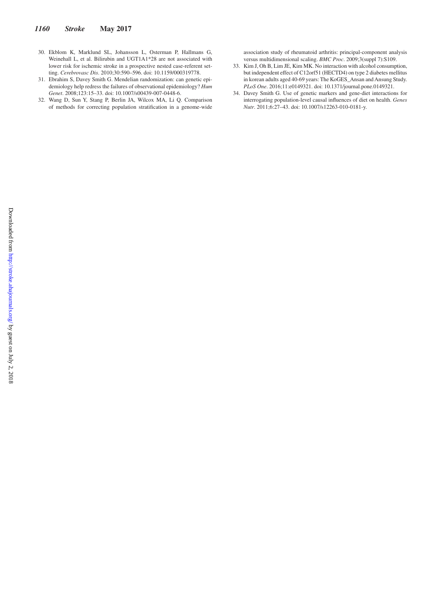- 30. Ekblom K, Marklund SL, Johansson L, Osterman P, Hallmans G, Weinehall L, et al. Bilirubin and UGT1A1\*28 are not associated with lower risk for ischemic stroke in a prospective nested case-referent setting. *Cerebrovasc Dis*. 2010;30:590–596. doi: 10.1159/000319778.
- 31. Ebrahim S, Davey Smith G. Mendelian randomization: can genetic epidemiology help redress the failures of observational epidemiology? *Hum Genet*. 2008;123:15–33. doi: 10.1007/s00439-007-0448-6.
- 32. Wang D, Sun Y, Stang P, Berlin JA, Wilcox MA, Li Q. Comparison of methods for correcting population stratification in a genome-wide

association study of rheumatoid arthritis: principal-component analysis versus multidimensional scaling. *BMC Proc*. 2009;3(suppl 7):S109.

- 33. Kim J, Oh B, Lim JE, Kim MK. No interaction with alcohol consumption, but independent effect of C12orf51 (HECTD4) on type 2 diabetes mellitus in korean adults aged 40-69 years: The KoGES\_Ansan and Ansung Study. *PLoS One*. 2016;11:e0149321. doi: 10.1371/journal.pone.0149321.
- 34. Davey Smith G. Use of genetic markers and gene-diet interactions for interrogating population-level causal influences of diet on health. *Genes Nutr*. 2011;6:27–43. doi: 10.1007/s12263-010-0181-y.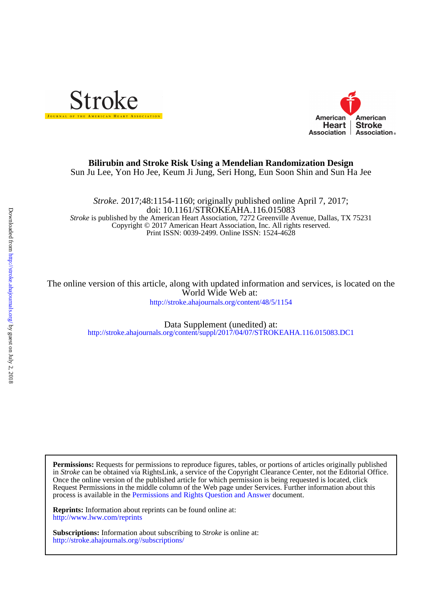



# Sun Ju Lee, Yon Ho Jee, Keum Ji Jung, Seri Hong, Eun Soon Shin and Sun Ha Jee **Bilirubin and Stroke Risk Using a Mendelian Randomization Design**

Print ISSN: 0039-2499. Online ISSN: 1524-4628 Copyright © 2017 American Heart Association, Inc. All rights reserved. *Stroke* is published by the American Heart Association, 7272 Greenville Avenue, Dallas, TX 75231 doi: 10.1161/STROKEAHA.116.015083 *Stroke.* 2017;48:1154-1160; originally published online April 7, 2017;

<http://stroke.ahajournals.org/content/48/5/1154> World Wide Web at: The online version of this article, along with updated information and services, is located on the

> <http://stroke.ahajournals.org/content/suppl/2017/04/07/STROKEAHA.116.015083.DC1> Data Supplement (unedited) at:

process is available in the [Permissions and Rights Question and Answer d](http://www.ahajournals.org/site/rights/)ocument. Request Permissions in the middle column of the Web page under Services. Further information about this Once the online version of the published article for which permission is being requested is located, click in *Stroke* can be obtained via RightsLink, a service of the Copyright Clearance Center, not the Editorial Office. **Permissions:** Requests for permissions to reproduce figures, tables, or portions of articles originally published

<http://www.lww.com/reprints> **Reprints:** Information about reprints can be found online at:

<http://stroke.ahajournals.org//subscriptions/> **Subscriptions:** Information about subscribing to *Stroke* is online at: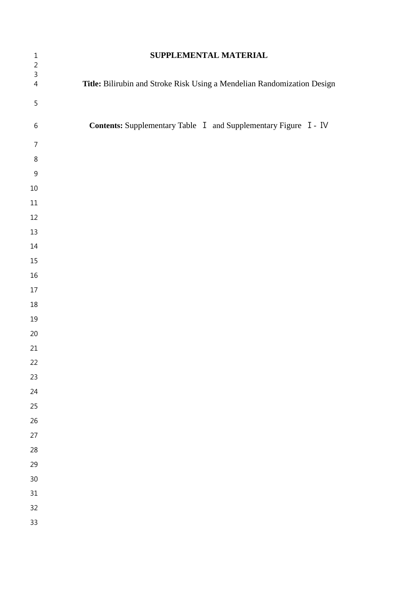| $\mathbf{1}$                 | SUPPLEMENTAL MATERIAL                                                   |  |  |  |  |  |  |
|------------------------------|-------------------------------------------------------------------------|--|--|--|--|--|--|
| $\sqrt{2}$<br>$\overline{3}$ |                                                                         |  |  |  |  |  |  |
| $\overline{4}$               | Title: Bilirubin and Stroke Risk Using a Mendelian Randomization Design |  |  |  |  |  |  |
| 5                            |                                                                         |  |  |  |  |  |  |
| $\,$ 6 $\,$                  | Contents: Supplementary Table I and Supplementary Figure I - IV         |  |  |  |  |  |  |
|                              |                                                                         |  |  |  |  |  |  |
| $\overline{7}$               |                                                                         |  |  |  |  |  |  |
| $\,8\,$                      |                                                                         |  |  |  |  |  |  |
| $\mathsf 9$                  |                                                                         |  |  |  |  |  |  |
| $10\,$                       |                                                                         |  |  |  |  |  |  |
| $11\,$                       |                                                                         |  |  |  |  |  |  |
| 12                           |                                                                         |  |  |  |  |  |  |
| 13                           |                                                                         |  |  |  |  |  |  |
| $14\,$                       |                                                                         |  |  |  |  |  |  |
| $15\,$                       |                                                                         |  |  |  |  |  |  |
| $16\,$                       |                                                                         |  |  |  |  |  |  |
| $17\,$                       |                                                                         |  |  |  |  |  |  |
| $18\,$                       |                                                                         |  |  |  |  |  |  |
| 19                           |                                                                         |  |  |  |  |  |  |
| $20\,$                       |                                                                         |  |  |  |  |  |  |
| 21                           |                                                                         |  |  |  |  |  |  |
| 22                           |                                                                         |  |  |  |  |  |  |
| 23                           |                                                                         |  |  |  |  |  |  |
| 24                           |                                                                         |  |  |  |  |  |  |
| 25                           |                                                                         |  |  |  |  |  |  |
| 26                           |                                                                         |  |  |  |  |  |  |
| 27                           |                                                                         |  |  |  |  |  |  |
| 28                           |                                                                         |  |  |  |  |  |  |
| 29                           |                                                                         |  |  |  |  |  |  |
| 30                           |                                                                         |  |  |  |  |  |  |
| 31                           |                                                                         |  |  |  |  |  |  |
| 32                           |                                                                         |  |  |  |  |  |  |
| 33                           |                                                                         |  |  |  |  |  |  |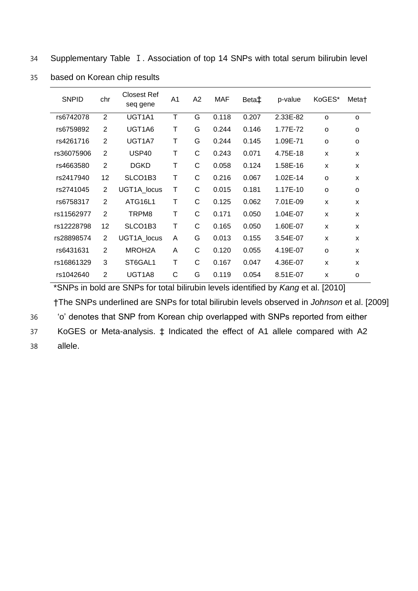34 Supplementary Table Ⅰ. Association of top 14 SNPs with total serum bilirubin level

| <b>SNPID</b> | chr            | <b>Closest Ref</b><br>seq gene   | A <sub>1</sub> | A <sub>2</sub> | <b>MAF</b> | Beta‡ | p-value      | KoGES*   | Meta†    |
|--------------|----------------|----------------------------------|----------------|----------------|------------|-------|--------------|----------|----------|
| rs6742078    | 2              | UGT1A1                           | T              | G              | 0.118      | 0.207 | 2.33E-82     | $\Omega$ | $\Omega$ |
| rs6759892    | $\overline{2}$ | UGT1A6                           | Т              | G              | 0.244      | 0.146 | 1.77E-72     | $\Omega$ | o        |
| rs4261716    | $\overline{2}$ | UGT1A7                           | Τ              | G              | 0.244      | 0.145 | 1.09E-71     | O        | o        |
| rs36075906   | 2              | USP <sub>40</sub>                | Τ              | C              | 0.243      | 0.071 | 4.75E-18     | X        | X        |
| rs4663580    | 2              | <b>DGKD</b>                      | T              | C              | 0.058      | 0.124 | 1.58E-16     | X        | X        |
| rs2417940    | 12             | SLCO1B3                          | Τ              | C              | 0.216      | 0.067 | $1.02E - 14$ | o        | X        |
| rs2741045    | 2              | UGT1A_locus                      | Т              | C              | 0.015      | 0.181 | 1.17E-10     | $\Omega$ | o        |
| rs6758317    | $\overline{2}$ | ATG16L1                          | T              | C              | 0.125      | 0.062 | 7.01E-09     | X        | X        |
| rs11562977   | 2              | TRPM8                            | Т              | C              | 0.171      | 0.050 | 1.04E-07     | X        | X        |
| rs12228798   | 12             | SLCO <sub>1</sub> B <sub>3</sub> | Τ              | C              | 0.165      | 0.050 | 1.60E-07     | X        | X        |
| rs28898574   | 2              | UGT1A_locus                      | A              | G              | 0.013      | 0.155 | 3.54E-07     | X        | X        |
| rs6431631    | 2              | MROH <sub>2</sub> A              | A              | C              | 0.120      | 0.055 | 4.19E-07     | O        | X        |
| rs16861329   | 3              | ST6GAL1                          | Т              | C              | 0.167      | 0.047 | 4.36E-07     | X        | X        |
| rs1042640    | $\overline{2}$ | UGT1A8                           | C              | G              | 0.119      | 0.054 | 8.51E-07     | X        | $\circ$  |
|              |                |                                  |                |                |            |       |              |          |          |

35 based on Korean chip results

\*SNPs in bold are SNPs for total bilirubin levels identified by *Kang* et al. [2010] †The SNPs underlined are SNPs for total bilirubin levels observed in *Johnson* et al. [2009] 36 'o' denotes that SNP from Korean chip overlapped with SNPs reported from either 37 KoGES or Meta-analysis. ‡ Indicated the effect of A1 allele compared with A2 38 allele.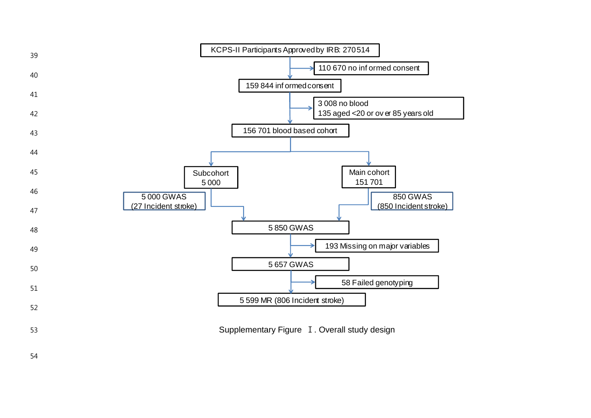

53 Supplementary Figure I. Overall study design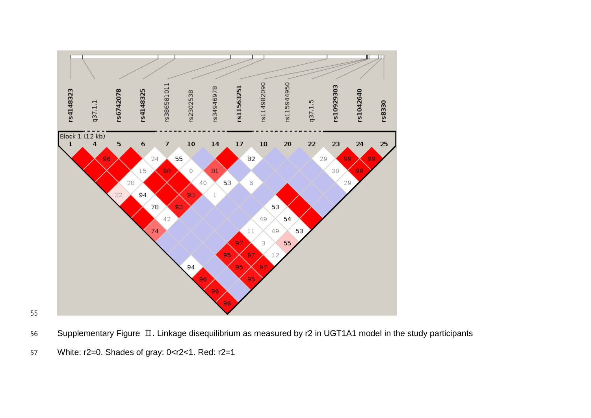

- Supplementary Figure Ⅱ. Linkage disequilibrium as measured by r2 in UGT1A1 model in the study participants
- White: r2=0. Shades of gray: 0<r2<1. Red: r2=1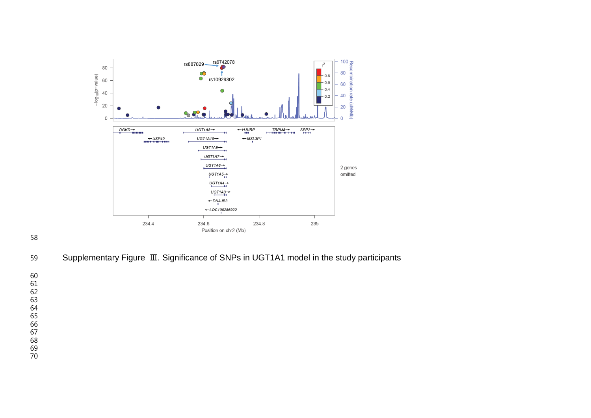

Supplementary Figure Ⅲ. Significance of SNPs in UGT1A1 model in the study participants